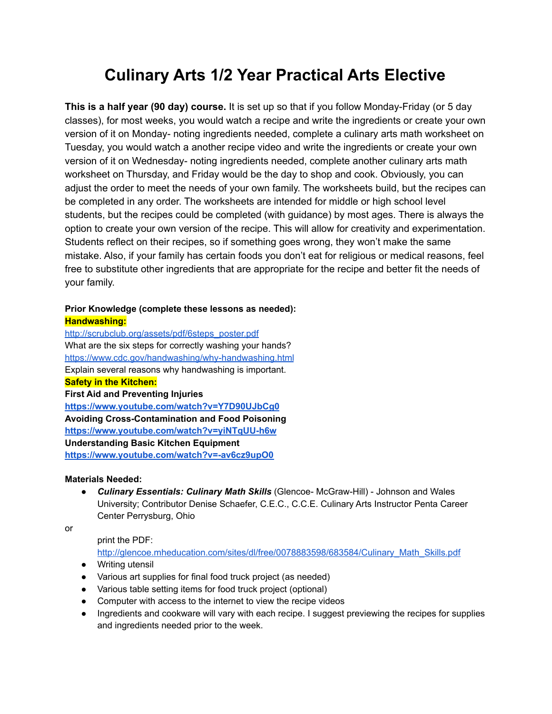# **Culinary Arts 1/2 Year Practical Arts Elective**

**This is a half year (90 day) course.** It is set up so that if you follow Monday-Friday (or 5 day classes), for most weeks, you would watch a recipe and write the ingredients or create your own version of it on Monday- noting ingredients needed, complete a culinary arts math worksheet on Tuesday, you would watch a another recipe video and write the ingredients or create your own version of it on Wednesday- noting ingredients needed, complete another culinary arts math worksheet on Thursday, and Friday would be the day to shop and cook. Obviously, you can adjust the order to meet the needs of your own family. The worksheets build, but the recipes can be completed in any order. The worksheets are intended for middle or high school level students, but the recipes could be completed (with guidance) by most ages. There is always the option to create your own version of the recipe. This will allow for creativity and experimentation. Students reflect on their recipes, so if something goes wrong, they won't make the same mistake. Also, if your family has certain foods you don't eat for religious or medical reasons, feel free to substitute other ingredients that are appropriate for the recipe and better fit the needs of your family.

#### **Prior Knowledge (complete these lessons as needed): Handwashing:**

[http://scrubclub.org/assets/pdf/6steps\\_poster.pdf](http://scrubclub.org/assets/pdf/6steps_poster.pdf) What are the six steps for correctly washing your hands? <https://www.cdc.gov/handwashing/why-handwashing.html> Explain several reasons why handwashing is important. **Safety in the Kitchen: First Aid and Preventing Injuries <https://www.youtube.com/watch?v=Y7D90UJbCg0> Avoiding Cross-Contamination and Food Poisoning <https://www.youtube.com/watch?v=yiNTqUU-h6w> Understanding Basic Kitchen Equipment <https://www.youtube.com/watch?v=-av6cz9upO0>**

### **Materials Needed:**

● *Culinary Essentials: Culinary Math Skills* (Glencoe- McGraw-Hill) - Johnson and Wales University; Contributor Denise Schaefer, C.E.C., C.C.E. Culinary Arts Instructor Penta Career Center Perrysburg, Ohio

or

### print the PDF:

[http://glencoe.mheducation.com/sites/dl/free/0078883598/683584/Culinary\\_Math\\_Skills.pdf](http://glencoe.mheducation.com/sites/dl/free/0078883598/683584/Culinary_Math_Skills.pdf)

- Writing utensil
- Various art supplies for final food truck project (as needed)
- Various table setting items for food truck project (optional)
- Computer with access to the internet to view the recipe videos
- Ingredients and cookware will vary with each recipe. I suggest previewing the recipes for supplies and ingredients needed prior to the week.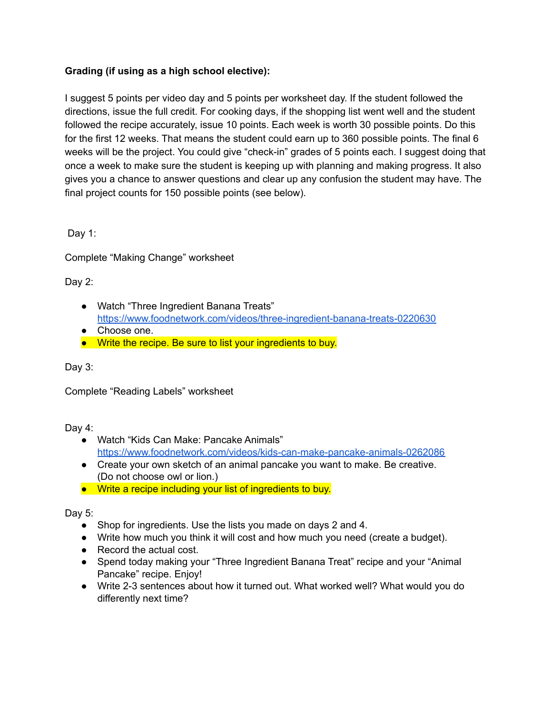# **Grading (if using as a high school elective):**

I suggest 5 points per video day and 5 points per worksheet day. If the student followed the directions, issue the full credit. For cooking days, if the shopping list went well and the student followed the recipe accurately, issue 10 points. Each week is worth 30 possible points. Do this for the first 12 weeks. That means the student could earn up to 360 possible points. The final 6 weeks will be the project. You could give "check-in" grades of 5 points each. I suggest doing that once a week to make sure the student is keeping up with planning and making progress. It also gives you a chance to answer questions and clear up any confusion the student may have. The final project counts for 150 possible points (see below).

Day 1:

Complete "Making Change" worksheet

Day 2:

- Watch "Three Ingredient Banana Treats" <https://www.foodnetwork.com/videos/three-ingredient-banana-treats-0220630>
- Choose one.
- Write the recipe. Be sure to list your ingredients to buy.

Day 3:

Complete "Reading Labels" worksheet

Day 4:

- Watch "Kids Can Make: Pancake Animals" <https://www.foodnetwork.com/videos/kids-can-make-pancake-animals-0262086>
- Create your own sketch of an animal pancake you want to make. Be creative. (Do not choose owl or lion.)
- Write a recipe including your list of ingredients to buy.

Day 5:

- Shop for ingredients. Use the lists you made on days 2 and 4.
- Write how much you think it will cost and how much you need (create a budget).
- Record the actual cost.
- Spend today making your "Three Ingredient Banana Treat" recipe and your "Animal Pancake" recipe. Enjoy!
- Write 2-3 sentences about how it turned out. What worked well? What would you do differently next time?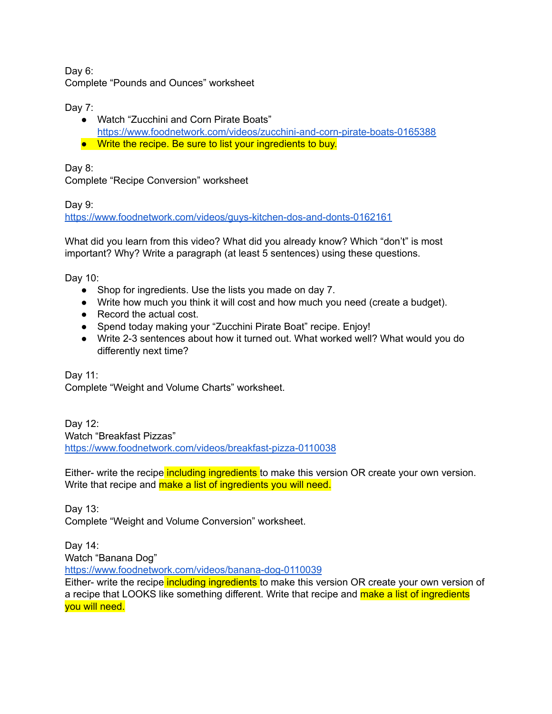Day 6: Complete "Pounds and Ounces" worksheet

Day 7:

- Watch "Zucchini and Corn Pirate Boats" <https://www.foodnetwork.com/videos/zucchini-and-corn-pirate-boats-0165388>
- Write the recipe. Be sure to list your ingredients to buy.

Day 8:

Complete "Recipe Conversion" worksheet

Day 9:

<https://www.foodnetwork.com/videos/guys-kitchen-dos-and-donts-0162161>

What did you learn from this video? What did you already know? Which "don't" is most important? Why? Write a paragraph (at least 5 sentences) using these questions.

Day 10:

- Shop for ingredients. Use the lists you made on day 7.
- Write how much you think it will cost and how much you need (create a budget).
- Record the actual cost.
- Spend today making your "Zucchini Pirate Boat" recipe. Enjoy!
- Write 2-3 sentences about how it turned out. What worked well? What would you do differently next time?

Day 11: Complete "Weight and Volume Charts" worksheet.

Day 12: Watch "Breakfast Pizzas" <https://www.foodnetwork.com/videos/breakfast-pizza-0110038>

Either- write the recipe including ingredients to make this version OR create your own version. Write that recipe and make a list of ingredients you will need.

Day 13: Complete "Weight and Volume Conversion" worksheet.

Day 14:

Watch "Banana Dog"

<https://www.foodnetwork.com/videos/banana-dog-0110039>

Either- write the recipe including ingredients to make this version OR create your own version of a recipe that LOOKS like something different. Write that recipe and make a list of ingredients you will need.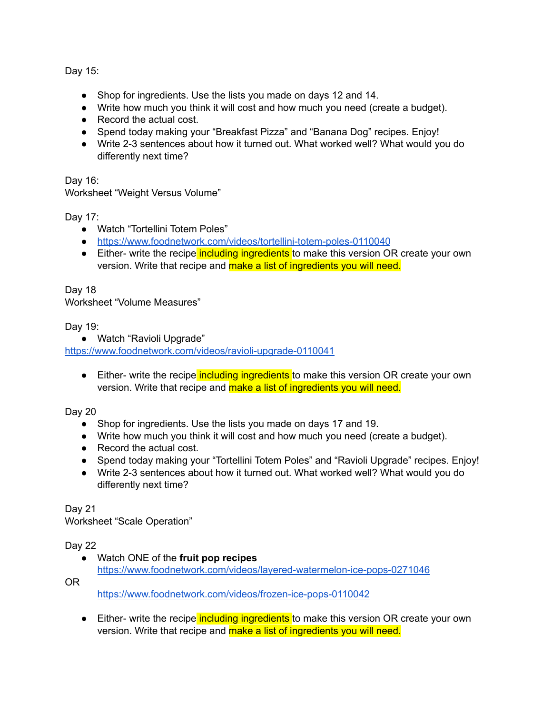Day 15:

- Shop for ingredients. Use the lists you made on days 12 and 14.
- Write how much you think it will cost and how much you need (create a budget).
- Record the actual cost.
- Spend today making your "Breakfast Pizza" and "Banana Dog" recipes. Enjoy!
- Write 2-3 sentences about how it turned out. What worked well? What would you do differently next time?

Day 16:

Worksheet "Weight Versus Volume"

Day 17:

- Watch "Tortellini Totem Poles"
- <https://www.foodnetwork.com/videos/tortellini-totem-poles-0110040>
- Either- write the recipe including ingredients to make this version OR create your own version. Write that recipe and make a list of ingredients you will need.

Day 18 Worksheet "Volume Measures"

Day 19:

● Watch "Ravioli Upgrade"

<https://www.foodnetwork.com/videos/ravioli-upgrade-0110041>

• Either- write the recipe including ingredients to make this version OR create your own version. Write that recipe and make a list of ingredients you will need.

Day 20

- Shop for ingredients. Use the lists you made on days 17 and 19.
- Write how much you think it will cost and how much you need (create a budget).
- Record the actual cost.
- Spend today making your "Tortellini Totem Poles" and "Ravioli Upgrade" recipes. Enjoy!
- Write 2-3 sentences about how it turned out. What worked well? What would you do differently next time?

Day 21

Worksheet "Scale Operation"

# Day 22

● Watch ONE of the **fruit pop recipes** <https://www.foodnetwork.com/videos/layered-watermelon-ice-pops-0271046>

OR

<https://www.foodnetwork.com/videos/frozen-ice-pops-0110042>

• Either- write the recipe including ingredients to make this version OR create your own version. Write that recipe and make a list of ingredients you will need.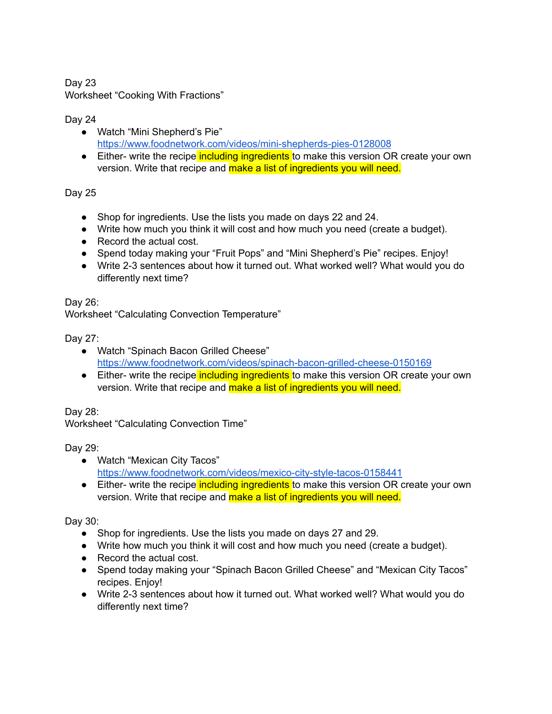Day 23 Worksheet "Cooking With Fractions"

# Day 24

- Watch "Mini Shepherd's Pie" <https://www.foodnetwork.com/videos/mini-shepherds-pies-0128008>
- Either- write the recipe including ingredients to make this version OR create your own version. Write that recipe and make a list of ingredients you will need.

Day 25

- Shop for ingredients. Use the lists you made on days 22 and 24.
- Write how much you think it will cost and how much you need (create a budget).
- Record the actual cost.
- Spend today making your "Fruit Pops" and "Mini Shepherd's Pie" recipes. Enjoy!
- Write 2-3 sentences about how it turned out. What worked well? What would you do differently next time?

Day 26:

Worksheet "Calculating Convection Temperature"

Day 27:

- Watch "Spinach Bacon Grilled Cheese" <https://www.foodnetwork.com/videos/spinach-bacon-grilled-cheese-0150169>
- Either- write the recipe including ingredients to make this version OR create your own version. Write that recipe and make a list of ingredients you will need.

Day 28:

Worksheet "Calculating Convection Time"

Day 29:

- Watch "Mexican City Tacos" <https://www.foodnetwork.com/videos/mexico-city-style-tacos-0158441>
- Either- write the recipe including ingredients to make this version OR create your own version. Write that recipe and make a list of ingredients you will need.

Day 30:

- Shop for ingredients. Use the lists you made on days 27 and 29.
- Write how much you think it will cost and how much you need (create a budget).
- Record the actual cost.
- Spend today making your "Spinach Bacon Grilled Cheese" and "Mexican City Tacos" recipes. Enjoy!
- Write 2-3 sentences about how it turned out. What worked well? What would you do differently next time?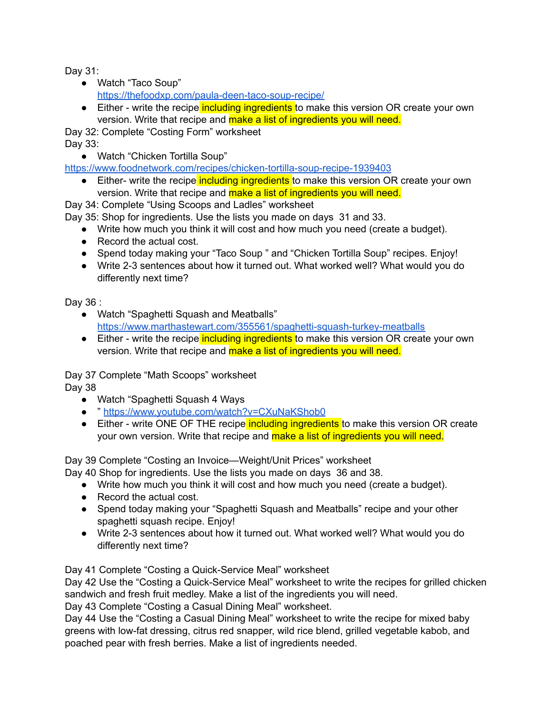Day 31:

- Watch "Taco Soup" <https://thefoodxp.com/paula-deen-taco-soup-recipe/>
- Either write the recipe including ingredients to make this version OR create your own version. Write that recipe and make a list of ingredients you will need.

Day 32: Complete "Costing Form" worksheet Day 33:

● Watch "Chicken Tortilla Soup"

<https://www.foodnetwork.com/recipes/chicken-tortilla-soup-recipe-1939403>

• Either- write the recipe including ingredients to make this version OR create your own version. Write that recipe and make a list of ingredients you will need.

Day 34: Complete "Using Scoops and Ladles" worksheet

Day 35: Shop for ingredients. Use the lists you made on days 31 and 33.

- Write how much you think it will cost and how much you need (create a budget).
- Record the actual cost.
- Spend today making your "Taco Soup " and "Chicken Tortilla Soup" recipes. Enjoy!
- Write 2-3 sentences about how it turned out. What worked well? What would you do differently next time?

Day 36 :

- Watch "Spaghetti Squash and Meatballs" <https://www.marthastewart.com/355561/spaghetti-squash-turkey-meatballs>
- Either write the recipe including ingredients to make this version OR create your own version. Write that recipe and make a list of ingredients you will need.

Day 37 Complete "Math Scoops" worksheet Day 38

- Watch "Spaghetti Squash 4 Ways
- " <https://www.youtube.com/watch?v=CXuNaKShob0>
- Either write ONE OF THE recipe including ingredients to make this version OR create your own version. Write that recipe and make a list of ingredients you will need.

Day 39 Complete "Costing an Invoice—Weight/Unit Prices" worksheet

- Day 40 Shop for ingredients. Use the lists you made on days 36 and 38.
	- Write how much you think it will cost and how much you need (create a budget).
	- Record the actual cost.
	- Spend today making your "Spaghetti Squash and Meatballs" recipe and your other spaghetti squash recipe. Enjoy!
	- Write 2-3 sentences about how it turned out. What worked well? What would you do differently next time?

Day 41 Complete "Costing a Quick-Service Meal" worksheet

Day 42 Use the "Costing a Quick-Service Meal" worksheet to write the recipes for grilled chicken sandwich and fresh fruit medley. Make a list of the ingredients you will need.

Day 43 Complete "Costing a Casual Dining Meal" worksheet.

Day 44 Use the "Costing a Casual Dining Meal" worksheet to write the recipe for mixed baby greens with low-fat dressing, citrus red snapper, wild rice blend, grilled vegetable kabob, and poached pear with fresh berries. Make a list of ingredients needed.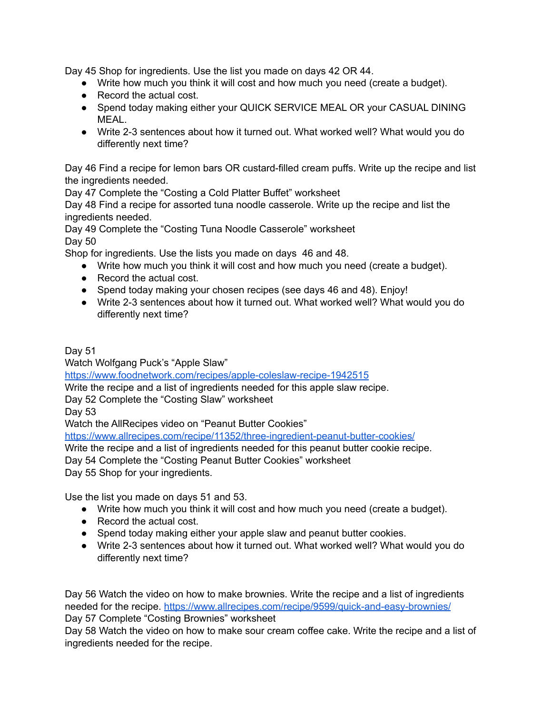Day 45 Shop for ingredients. Use the list you made on days 42 OR 44.

- Write how much you think it will cost and how much you need (create a budget).
- Record the actual cost.
- Spend today making either your QUICK SERVICE MEAL OR your CASUAL DINING MEAL.
- Write 2-3 sentences about how it turned out. What worked well? What would you do differently next time?

Day 46 Find a recipe for lemon bars OR custard-filled cream puffs. Write up the recipe and list the ingredients needed.

Day 47 Complete the "Costing a Cold Platter Buffet" worksheet

Day 48 Find a recipe for assorted tuna noodle casserole. Write up the recipe and list the ingredients needed.

Day 49 Complete the "Costing Tuna Noodle Casserole" worksheet Day 50

Shop for ingredients. Use the lists you made on days 46 and 48.

- Write how much you think it will cost and how much you need (create a budget).
- Record the actual cost.
- Spend today making your chosen recipes (see days 46 and 48). Enjoy!
- Write 2-3 sentences about how it turned out. What worked well? What would you do differently next time?

Day 51

Watch Wolfgang Puck's "Apple Slaw"

<https://www.foodnetwork.com/recipes/apple-coleslaw-recipe-1942515>

Write the recipe and a list of ingredients needed for this apple slaw recipe.

Day 52 Complete the "Costing Slaw" worksheet

Day 53

Watch the AllRecipes video on "Peanut Butter Cookies"

<https://www.allrecipes.com/recipe/11352/three-ingredient-peanut-butter-cookies/>

Write the recipe and a list of ingredients needed for this peanut butter cookie recipe.

Day 54 Complete the "Costing Peanut Butter Cookies" worksheet

Day 55 Shop for your ingredients.

Use the list you made on days 51 and 53.

- Write how much you think it will cost and how much you need (create a budget).
- Record the actual cost.
- Spend today making either your apple slaw and peanut butter cookies.
- Write 2-3 sentences about how it turned out. What worked well? What would you do differently next time?

Day 56 Watch the video on how to make brownies. Write the recipe and a list of ingredients needed for the recipe. <https://www.allrecipes.com/recipe/9599/quick-and-easy-brownies/> Day 57 Complete "Costing Brownies" worksheet

Day 58 Watch the video on how to make sour cream coffee cake. Write the recipe and a list of ingredients needed for the recipe.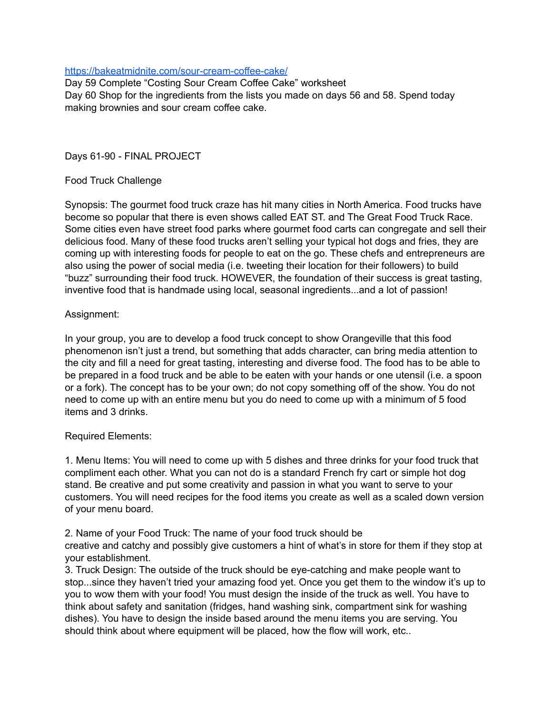## <https://bakeatmidnite.com/sour-cream-coffee-cake/>

Day 59 Complete "Costing Sour Cream Coffee Cake" worksheet Day 60 Shop for the ingredients from the lists you made on days 56 and 58. Spend today making brownies and sour cream coffee cake.

Days 61-90 - FINAL PROJECT

## Food Truck Challenge

Synopsis: The gourmet food truck craze has hit many cities in North America. Food trucks have become so popular that there is even shows called EAT ST. and The Great Food Truck Race. Some cities even have street food parks where gourmet food carts can congregate and sell their delicious food. Many of these food trucks aren't selling your typical hot dogs and fries, they are coming up with interesting foods for people to eat on the go. These chefs and entrepreneurs are also using the power of social media (i.e. tweeting their location for their followers) to build "buzz" surrounding their food truck. HOWEVER, the foundation of their success is great tasting, inventive food that is handmade using local, seasonal ingredients...and a lot of passion!

## Assignment:

In your group, you are to develop a food truck concept to show Orangeville that this food phenomenon isn't just a trend, but something that adds character, can bring media attention to the city and fill a need for great tasting, interesting and diverse food. The food has to be able to be prepared in a food truck and be able to be eaten with your hands or one utensil (i.e. a spoon or a fork). The concept has to be your own; do not copy something off of the show. You do not need to come up with an entire menu but you do need to come up with a minimum of 5 food items and 3 drinks.

### Required Elements:

1. Menu Items: You will need to come up with 5 dishes and three drinks for your food truck that compliment each other. What you can not do is a standard French fry cart or simple hot dog stand. Be creative and put some creativity and passion in what you want to serve to your customers. You will need recipes for the food items you create as well as a scaled down version of your menu board.

2. Name of your Food Truck: The name of your food truck should be creative and catchy and possibly give customers a hint of what's in store for them if they stop at your establishment.

3. Truck Design: The outside of the truck should be eye-catching and make people want to stop...since they haven't tried your amazing food yet. Once you get them to the window it's up to you to wow them with your food! You must design the inside of the truck as well. You have to think about safety and sanitation (fridges, hand washing sink, compartment sink for washing dishes). You have to design the inside based around the menu items you are serving. You should think about where equipment will be placed, how the flow will work, etc..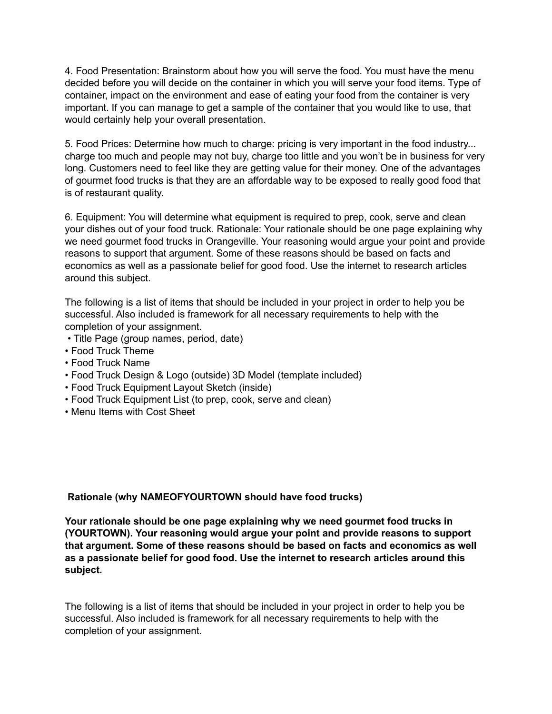4. Food Presentation: Brainstorm about how you will serve the food. You must have the menu decided before you will decide on the container in which you will serve your food items. Type of container, impact on the environment and ease of eating your food from the container is very important. If you can manage to get a sample of the container that you would like to use, that would certainly help your overall presentation.

5. Food Prices: Determine how much to charge: pricing is very important in the food industry... charge too much and people may not buy, charge too little and you won't be in business for very long. Customers need to feel like they are getting value for their money. One of the advantages of gourmet food trucks is that they are an affordable way to be exposed to really good food that is of restaurant quality.

6. Equipment: You will determine what equipment is required to prep, cook, serve and clean your dishes out of your food truck. Rationale: Your rationale should be one page explaining why we need gourmet food trucks in Orangeville. Your reasoning would argue your point and provide reasons to support that argument. Some of these reasons should be based on facts and economics as well as a passionate belief for good food. Use the internet to research articles around this subject.

The following is a list of items that should be included in your project in order to help you be successful. Also included is framework for all necessary requirements to help with the completion of your assignment.

- Title Page (group names, period, date)
- Food Truck Theme
- Food Truck Name
- Food Truck Design & Logo (outside) 3D Model (template included)
- Food Truck Equipment Layout Sketch (inside)
- Food Truck Equipment List (to prep, cook, serve and clean)
- Menu Items with Cost Sheet

### **Rationale (why NAMEOFYOURTOWN should have food trucks)**

**Your rationale should be one page explaining why we need gourmet food trucks in (YOURTOWN). Your reasoning would argue your point and provide reasons to support that argument. Some of these reasons should be based on facts and economics as well as a passionate belief for good food. Use the internet to research articles around this subject.**

The following is a list of items that should be included in your project in order to help you be successful. Also included is framework for all necessary requirements to help with the completion of your assignment.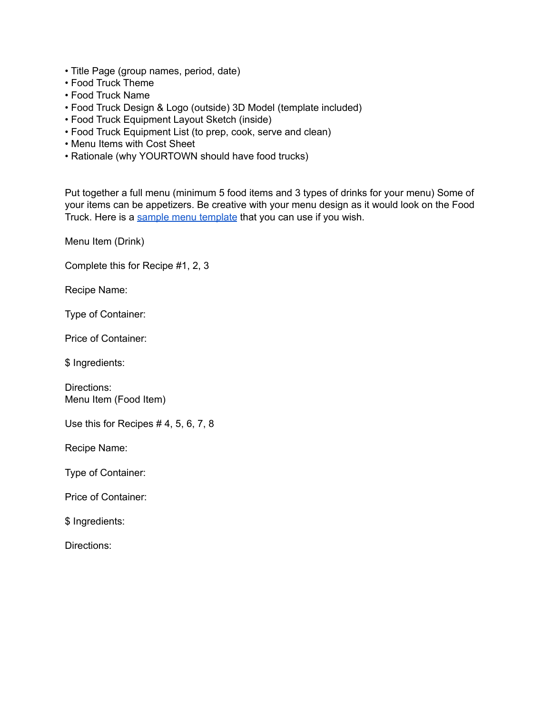- Title Page (group names, period, date)
- Food Truck Theme
- Food Truck Name
- Food Truck Design & Logo (outside) 3D Model (template included)
- Food Truck Equipment Layout Sketch (inside)
- Food Truck Equipment List (to prep, cook, serve and clean)
- Menu Items with Cost Sheet
- Rationale (why YOURTOWN should have food trucks)

Put together a full menu (minimum 5 food items and 3 types of drinks for your menu) Some of your items can be appetizers. Be creative with your menu design as it would look on the Food Truck. Here is a sample menu [template](https://www.postermywall.com/index.php/posterbuilder/copy/a451ea86da691f4b843482f42e185e96) that you can use if you wish.

Menu Item (Drink)

Complete this for Recipe #1, 2, 3

Recipe Name:

Type of Container:

Price of Container:

\$ Ingredients:

Directions: Menu Item (Food Item)

Use this for Recipes # 4, 5, 6, 7, 8

Recipe Name:

Type of Container:

Price of Container:

\$ Ingredients:

Directions: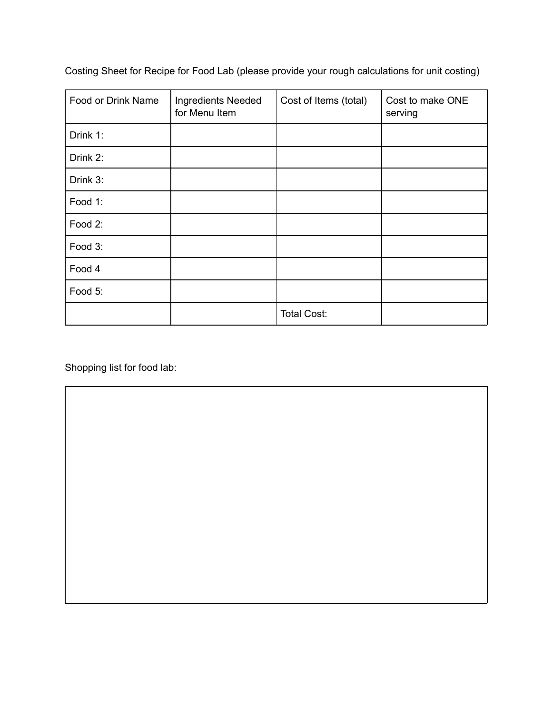| Food or Drink Name | Ingredients Needed<br>for Menu Item | Cost of Items (total) | Cost to make ONE<br>serving |
|--------------------|-------------------------------------|-----------------------|-----------------------------|
| Drink 1:           |                                     |                       |                             |
| Drink 2:           |                                     |                       |                             |
| Drink 3:           |                                     |                       |                             |
| Food 1:            |                                     |                       |                             |
| Food 2:            |                                     |                       |                             |
| Food 3:            |                                     |                       |                             |
| Food 4             |                                     |                       |                             |
| Food 5:            |                                     |                       |                             |
|                    |                                     | <b>Total Cost:</b>    |                             |

Costing Sheet for Recipe for Food Lab (please provide your rough calculations for unit costing)

Shopping list for food lab: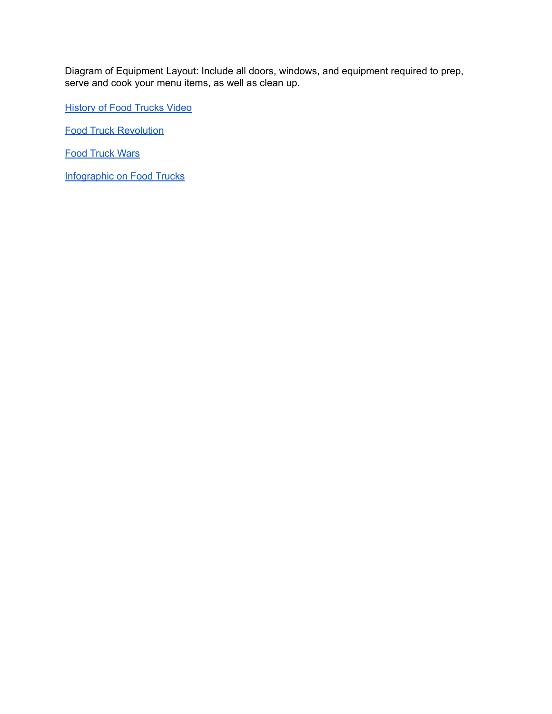Diagram of Equipment Layout: Include all doors, windows, and equipment required to prep, serve and cook your menu items, as well as clean up.

**[History](http://www.history.com/shows/modern-marvels/videos/history-of-food-trucks) of Food Trucks Video** 

Food Truck [Revolution](https://www.youtube.com/watch?v=fjDsMg9C9es)

Food [Truck](https://www.youtube.com/watch?v=gSud2upVkBo) Wars

[Infographic](https://dailyinfographic.com/food-trucks-infographic) on Food Trucks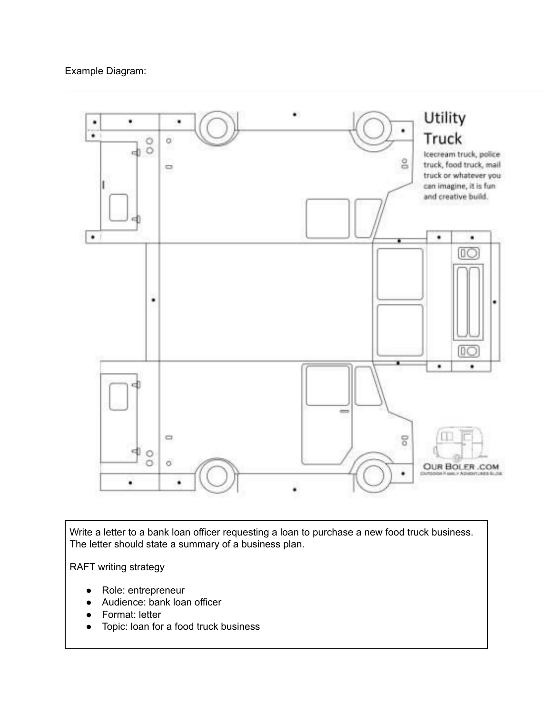

Write a letter to a bank loan officer requesting a loan to purchase a new food truck business. The letter should state a summary of a business plan.

RAFT writing strategy

- Role: entrepreneur
- Audience: bank loan officer
- Format: letter
- Topic: loan for a food truck business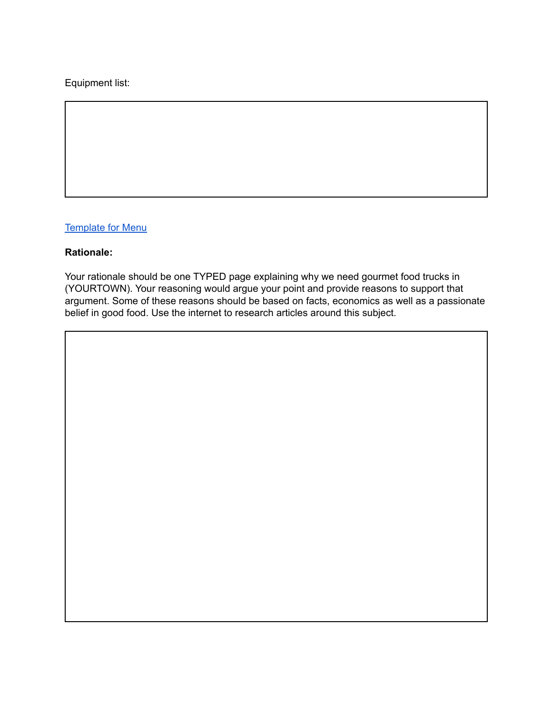# Equipment list:

# **[Template](https://www.postermywall.com/index.php/art/template/5359f8283f22bfc91ccee8c05b84b7fc/food-truck-menu-template-design#.XHAKGOhKg2w) for Menu**

## **Rationale:**

Your rationale should be one TYPED page explaining why we need gourmet food trucks in (YOURTOWN). Your reasoning would argue your point and provide reasons to support that argument. Some of these reasons should be based on facts, economics as well as a passionate belief in good food. Use the internet to research articles around this subject.